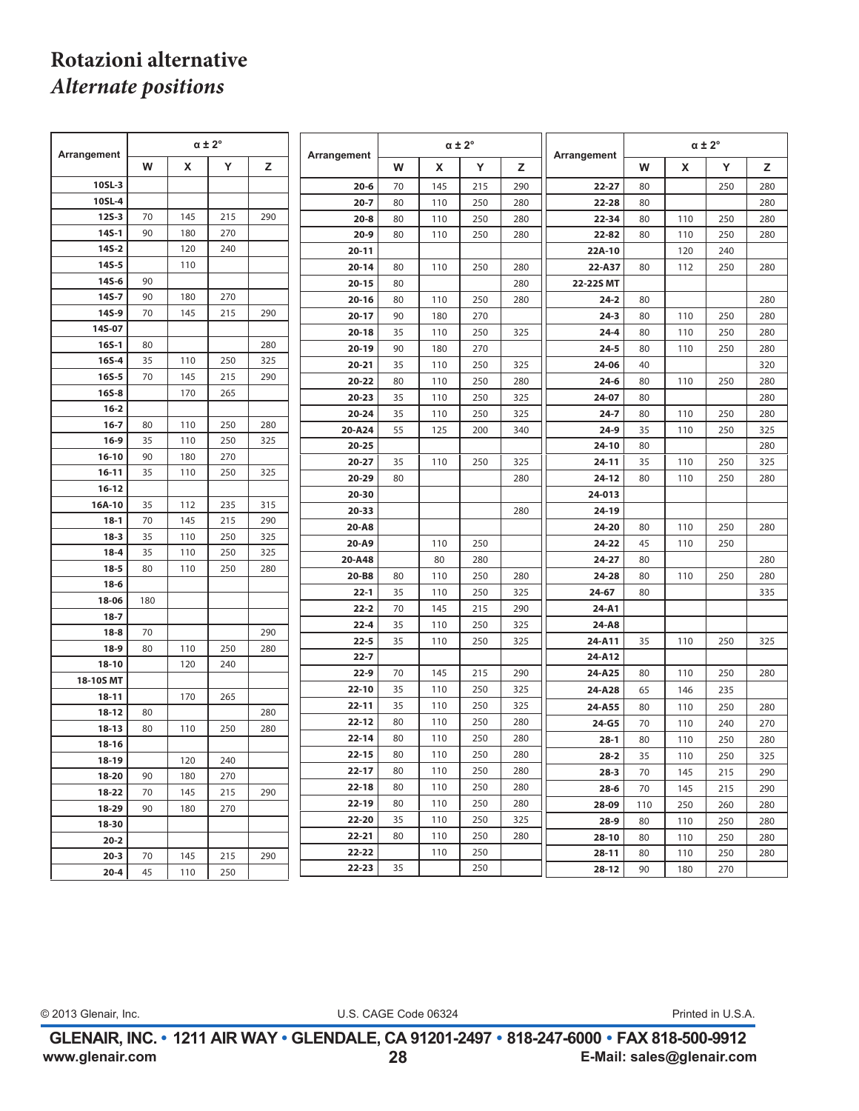## **Rotazioni alternative** *Alternate positions*

| Arrangement     |     | $\alpha \pm 2^{\circ}$ |     |     | Arrangement |    |     | $\alpha \pm 2^{\circ}$ |     | Arrangement | $\alpha \pm 2^{\circ}$ |                           |     |     |
|-----------------|-----|------------------------|-----|-----|-------------|----|-----|------------------------|-----|-------------|------------------------|---------------------------|-----|-----|
|                 | W   | X                      | Y   | z   |             | W  | X   | Y                      | z   |             | W                      | $\boldsymbol{\mathsf{x}}$ | Y   | z   |
| 10SL-3          |     |                        |     |     | $20 - 6$    | 70 | 145 | 215                    | 290 | $22 - 27$   | 80                     |                           | 250 | 280 |
| 10SL-4          |     |                        |     |     | $20 - 7$    | 80 | 110 | 250                    | 280 | $22 - 28$   | 80                     |                           |     | 280 |
| $125 - 3$       | 70  | 145                    | 215 | 290 | $20 - 8$    | 80 | 110 | 250                    | 280 | 22-34       | 80                     | 110                       | 250 | 280 |
| $145 - 1$       | 90  | 180                    | 270 |     | $20 - 9$    | 80 | 110 | 250                    | 280 | $22 - 82$   | 80                     | 110                       | 250 | 280 |
| $145 - 2$       |     | 120                    | 240 |     | $20 - 11$   |    |     |                        |     | 22A-10      |                        | 120                       | 240 |     |
| $145 - 5$       |     | 110                    |     |     | $20 - 14$   | 80 | 110 | 250                    | 280 | 22-A37      | 80                     | 112                       | 250 | 280 |
| $145 - 6$       | 90  |                        |     |     | $20 - 15$   | 80 |     |                        | 280 | 22-22S MT   |                        |                           |     |     |
| $145 - 7$       | 90  | 180                    | 270 |     | $20 - 16$   | 80 | 110 | 250                    | 280 | $24 - 2$    | 80                     |                           |     | 280 |
| 14S-9           | 70  | 145                    | 215 | 290 | $20 - 17$   | 90 | 180 | 270                    |     | $24-3$      | 80                     | 110                       | 250 | 280 |
| 14S-07          |     |                        |     |     | $20 - 18$   | 35 | 110 | 250                    | 325 | $24 - 4$    | 80                     | 110                       | 250 | 280 |
| $165 - 1$       | 80  |                        |     | 280 | $20-19$     | 90 | 180 | 270                    |     | $24 - 5$    | 80                     | 110                       | 250 | 280 |
| $165 - 4$       | 35  | 110                    | 250 | 325 | $20 - 21$   | 35 | 110 | 250                    | 325 | 24-06       | 40                     |                           |     | 320 |
| $165 - 5$       | 70  | 145                    | 215 | 290 | 20-22       | 80 | 110 | 250                    | 280 | $24 - 6$    | 80                     | 110                       | 250 | 280 |
| $165 - 8$       |     | 170                    | 265 |     | $20 - 23$   | 35 | 110 | 250                    | 325 | $24 - 07$   | 80                     |                           |     | 280 |
| $16 - 2$        |     |                        |     |     | $20 - 24$   | 35 | 110 | 250                    | 325 | $24 - 7$    | 80                     | 110                       | 250 | 280 |
| $16 - 7$        | 80  | 110                    | 250 | 280 | 20-A24      | 55 | 125 | 200                    | 340 | $24-9$      | 35                     | 110                       | 250 | 325 |
| $16-9$          | 35  | 110                    | 250 | 325 | $20 - 25$   |    |     |                        |     | $24 - 10$   | 80                     |                           |     | 280 |
| $16 - 10$       | 90  | 180                    | 270 |     | $20 - 27$   | 35 | 110 | 250                    | 325 | $24 - 11$   | 35                     | 110                       | 250 | 325 |
| $16 - 11$       | 35  | 110                    | 250 | 325 | 20-29       | 80 |     |                        | 280 | $24 - 12$   | 80                     | 110                       | 250 | 280 |
| $16 - 12$       |     |                        |     |     | 20-30       |    |     |                        |     | 24-013      |                        |                           |     |     |
| 16A-10          | 35  | 112                    | 235 | 315 | $20 - 33$   |    |     |                        | 280 | 24-19       |                        |                           |     |     |
| $18 - 1$        | 70  | 145                    | 215 | 290 | 20-A8       |    |     |                        |     | 24-20       | 80                     | 110                       | 250 | 280 |
| $18 - 3$        | 35  | 110                    | 250 | 325 | 20-A9       |    | 110 | 250                    |     | 24-22       | 45                     | 110                       | 250 |     |
| $18 - 4$        | 35  | 110                    | 250 | 325 | 20-A48      |    | 80  | 280                    |     | $24 - 27$   | 80                     |                           |     | 280 |
| $18 - 5$        | 80  | 110                    | 250 | 280 | 20-B8       | 80 | 110 | 250                    | 280 | 24-28       | 80                     | 110                       | 250 | 280 |
| $18-6$<br>18-06 | 180 |                        |     |     | $22 - 1$    | 35 | 110 | 250                    | 325 | 24-67       | 80                     |                           |     | 335 |
| $18 - 7$        |     |                        |     |     | $22 - 2$    | 70 | 145 | 215                    | 290 | 24-A1       |                        |                           |     |     |
| $18 - 8$        | 70  |                        |     | 290 | $22 - 4$    | 35 | 110 | 250                    | 325 | 24-A8       |                        |                           |     |     |
| $18-9$          | 80  | 110                    | 250 | 280 | $22 - 5$    | 35 | 110 | 250                    | 325 | 24-A11      | 35                     | 110                       | 250 | 325 |
| $18 - 10$       |     | 120                    | 240 |     | $22 - 7$    |    |     |                        |     | 24-A12      |                        |                           |     |     |
| 18-10S MT       |     |                        |     |     | $22-9$      | 70 | 145 | 215                    | 290 | 24-A25      | 80                     | 110                       | 250 | 280 |
| $18 - 11$       |     | 170                    | 265 |     | $22 - 10$   | 35 | 110 | 250                    | 325 | 24-A28      | 65                     | 146                       | 235 |     |
| $18 - 12$       | 80  |                        |     | 280 | $22 - 11$   | 35 | 110 | 250                    | 325 | 24-A55      | 80                     | 110                       | 250 | 280 |
| $18 - 13$       | 80  | 110                    | 250 | 280 | $22 - 12$   | 80 | 110 | 250                    | 280 | $24-G5$     | 70                     | 110                       | 240 | 270 |
| 18-16           |     |                        |     |     | $22 - 14$   | 80 | 110 | 250                    | 280 | $28-1$      | 80                     | 110                       | 250 | 280 |
| 18-19           |     | 120                    | 240 |     | $22 - 15$   | 80 | 110 | 250                    | 280 | $28 - 2$    | 35                     | 110                       | 250 | 325 |
| 18-20           | 90  | 180                    | 270 |     | $22 - 17$   | 80 | 110 | 250                    | 280 | $28 - 3$    | 70                     | 145                       | 215 | 290 |
| $18 - 22$       | 70  | 145                    | 215 | 290 | $22 - 18$   | 80 | 110 | 250                    | 280 | $28 - 6$    | 70                     | 145                       | 215 | 290 |
| 18-29           | 90  | 180                    | 270 |     | 22-19       | 80 | 110 | 250                    | 280 | 28-09       | 110                    | 250                       | 260 | 280 |
| 18-30           |     |                        |     |     | 22-20       | 35 | 110 | 250                    | 325 | $28-9$      | 80                     | 110                       | 250 | 280 |
| $20 - 2$        |     |                        |     |     | 22-21       | 80 | 110 | 250                    | 280 | 28-10       | 80                     | 110                       | 250 | 280 |
| $20 - 3$        | 70  | 145                    | 215 | 290 | 22-22       |    | 110 | 250                    |     | $28 - 11$   | 80                     | 110                       | 250 | 280 |
| $20 - 4$        | 45  | 110                    | 250 |     | 22-23       | 35 |     | 250                    |     | $28 - 12$   | 90                     | 180                       | 270 |     |